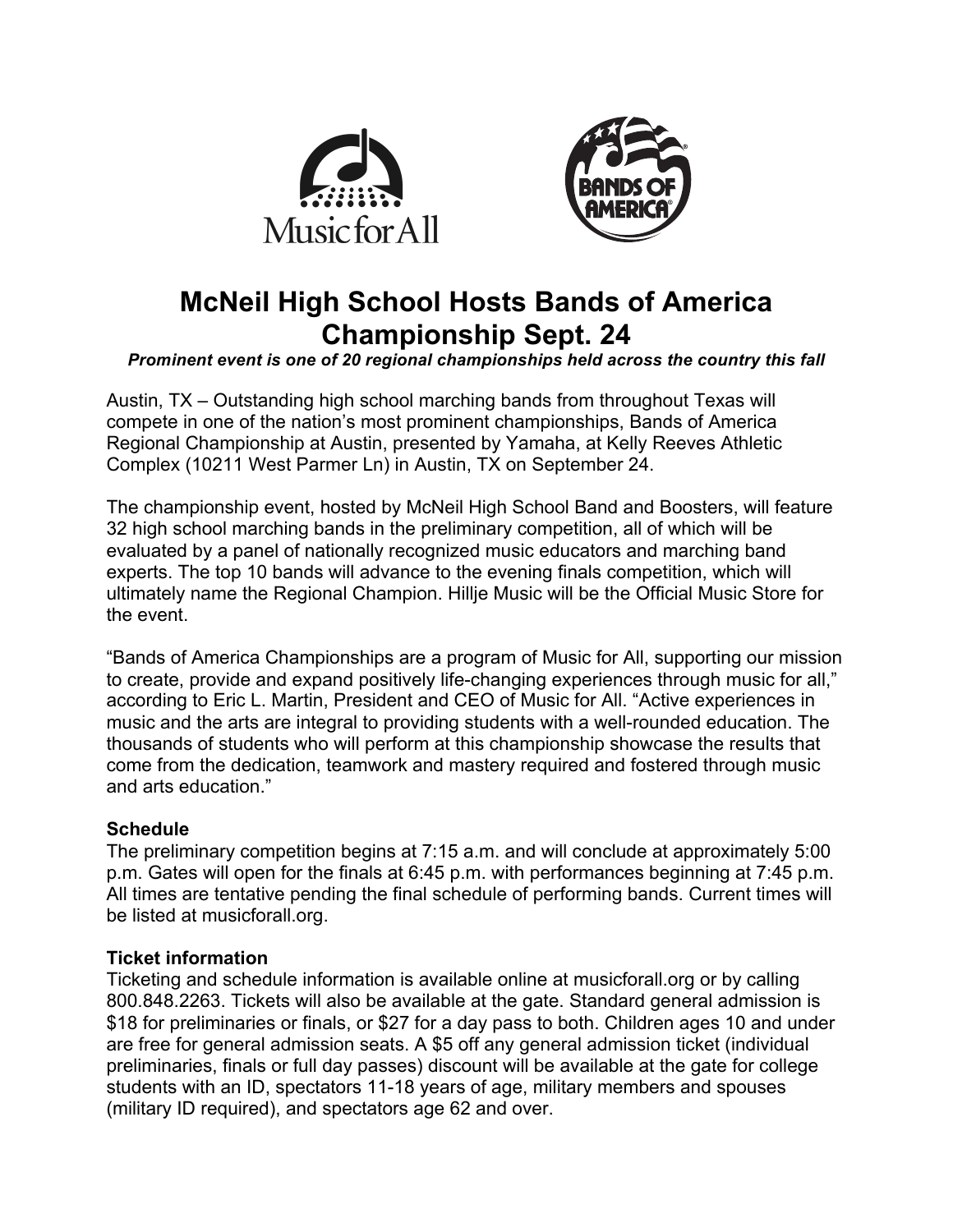



# **McNeil High School Hosts Bands of America Championship Sept. 24**

*Prominent event is one of 20 regional championships held across the country this fall*

Austin, TX – Outstanding high school marching bands from throughout Texas will compete in one of the nation's most prominent championships, Bands of America Regional Championship at Austin, presented by Yamaha, at Kelly Reeves Athletic Complex (10211 West Parmer Ln) in Austin, TX on September 24.

The championship event, hosted by McNeil High School Band and Boosters, will feature 32 high school marching bands in the preliminary competition, all of which will be evaluated by a panel of nationally recognized music educators and marching band experts. The top 10 bands will advance to the evening finals competition, which will ultimately name the Regional Champion. Hillje Music will be the Official Music Store for the event.

"Bands of America Championships are a program of Music for All, supporting our mission to create, provide and expand positively life-changing experiences through music for all," according to Eric L. Martin, President and CEO of Music for All. "Active experiences in music and the arts are integral to providing students with a well-rounded education. The thousands of students who will perform at this championship showcase the results that come from the dedication, teamwork and mastery required and fostered through music and arts education."

# **Schedule**

The preliminary competition begins at 7:15 a.m. and will conclude at approximately 5:00 p.m. Gates will open for the finals at 6:45 p.m. with performances beginning at 7:45 p.m. All times are tentative pending the final schedule of performing bands. Current times will be listed at musicforall.org.

# **Ticket information**

Ticketing and schedule information is available online at musicforall.org or by calling 800.848.2263. Tickets will also be available at the gate. Standard general admission is \$18 for preliminaries or finals, or \$27 for a day pass to both. Children ages 10 and under are free for general admission seats. A \$5 off any general admission ticket (individual preliminaries, finals or full day passes) discount will be available at the gate for college students with an ID, spectators 11-18 years of age, military members and spouses (military ID required), and spectators age 62 and over.